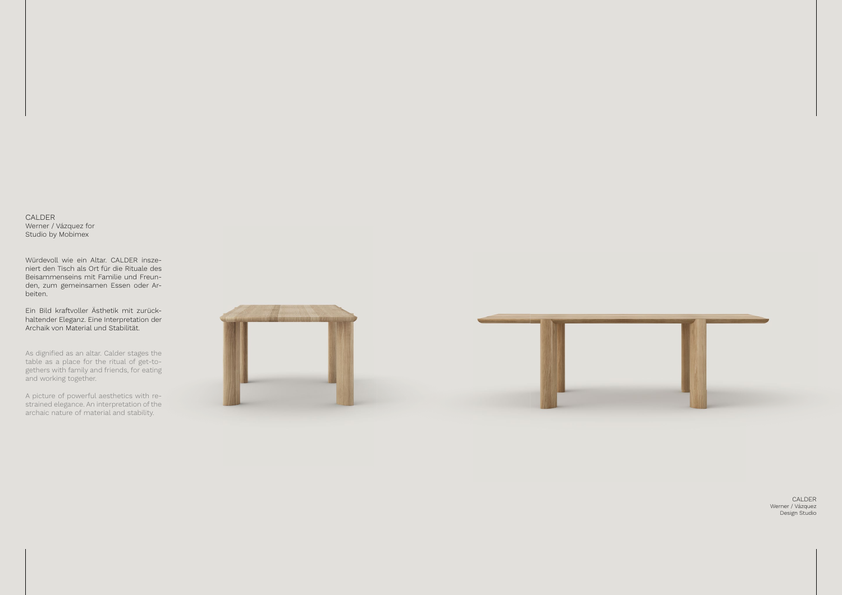CALDER Werner / Vázquez Design Studio

CALDER Werner / Vázquez for Studio by Mobimex

Würdevoll wie ein Altar. CALDER inszeniert den Tisch als Ort für die Rituale des Beisammenseins mit Familie und Freunden, zum gemeinsamen Essen oder Arbeiten.

As dignified as an altar. Calder stages the table as a place for the ritual of get-togethers with family and friends, for eating and working together.

Ein Bild kraftvoller Ästhetik mit zurückhaltender Eleganz. Eine Interpretation der Archaik von Material und Stabilität.

A picture of powerful aesthetics with restrained elegance. An interpretation of the archaic nature of material and stability.